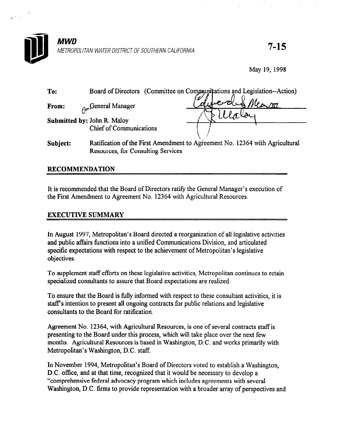

c.'

## **MWD** METROPOLITAN WATER DISTRICT OF SOUTHERN CALIFORNIA  $7$ – $15$

Resources, for Consulting Services

May 19, 1998

| To:                         |                                | Board of Directors (Committee on Communications and Legislation--Action)     |
|-----------------------------|--------------------------------|------------------------------------------------------------------------------|
| From:                       | $\alpha$ General Manager       |                                                                              |
| Submitted by: John R. Maloy |                                |                                                                              |
|                             | <b>Chief of Communications</b> |                                                                              |
| Subject:                    |                                | Ratification of the First Amendment to Agreement No. 12364 with Agricultural |

## RECOMMENDATION

It is recommended that the Board of Directors ratify the General Manager's execution of the First Amendment to Agreement No. 12364 with Agricultural Resources.

## EXECUTIVE SUMMARY

In August 1997, Metropolitan's Board directed a reorganization of all legislative activities and public affairs functions into a unified Communications Division, and articulated specific expectations with respect to the achievement of Metropolitan's legislative objectives.

To supplement staff efforts on these legislative activities, Metropolitan continues to retain specialized consultants to assure that Board expectations are realized.

To ensure that the Board is fully informed with respect to these consultant activities, it is staff's intention to present all ongoing contracts for public relations and legislative consultants to the Board for ratification.

Agreement No. 12364, with Agricultural Resources, is one of several contracts staff is presenting to the Board under this process, which will take place over the next few months. Agricultural Resources is based in Washington, D.C. and works primarily with Metropolitan's Washington, D.C. staff.

In November 1994, Metropolitan's Board of Directors voted to establish a Washington, D.C. office, and at that time, recognized that it would be necessary to develop a "comprehensive federal advocacy program which includes agreements with several Washington, D.C. firms to provide representation with a broader array of perspectives and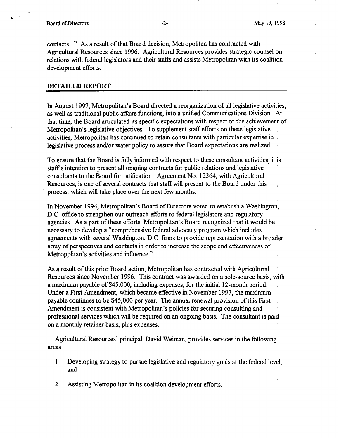contacts.. ." As a result of that Board decision, Metropolitan has contracted with Agricultural Resources since 1996. Agricultural Resources provides strategic counsel on relations with federal legislators and their staffs and assists Metropolitan with its coalition development efforts.

## DETAILED REPORT

In August 1997, Metropolitan's Board directed a reorganization of all legislative activities, as well as traditional public affairs functions, into a unified Communications Division. At that time, the Board articulated its specific expectations with respect to the achievement of Metropolitan's legislative objectives. To supplement staff efforts on these legislative activities, Metropolitan has continued to retain consultants with particular expertise in legislative process and/or water policy to assure that Board expectations are realized.

To ensure that the Board is fblly informed with respect to these consultant activities, it is staff's intention to present all ongoing contracts for public relations and legislative consultants to the Board for ratification. Agreement No. 12364, with Agricultural Resources, is one of several contracts that staff will present to the Board under this process, which will take place over the next few months.

In November 1994, Metropolitan's Board of Directors voted to establish a Washington, D.C. office to strengthen our outreach efforts to federal legislators and regulatory agencies. As a part of these efforts, Metropolitan's Board recognized that it would be necessary to develop a "comprehensive federal advocacy program which includes agreements with several Washington, D.C. firms to provide representation with a broader array of perspectives and contacts in order to increase the scope and effectiveness of Metropolitan's activities and influence."

As a result of this prior Board action, Metropolitan has contracted with Agricultural Resources since November 1996. This contract was awarded on a sole-source basis, with a maximum payable of \$45,000, including expenses, for the initial 12-month period. Under a First Amendment, which became effective in November 1997, the maximum payable continues to be \$45,000 per year. The annual renewal provision of this First Amendment is consistent with Metropolitan's policies for securing consulting and professional services which will be required on an ongoing basis. The consultant is paid on a monthly retainer basis, plus expenses.

Agricultural Resources' principal, David Weiman, provides services in the following areas:

- 1. Developing strategy to pursue legislative and regulatory goals at the federal level; and
- 2. Assisting Metropolitan in its coalition development efforts.